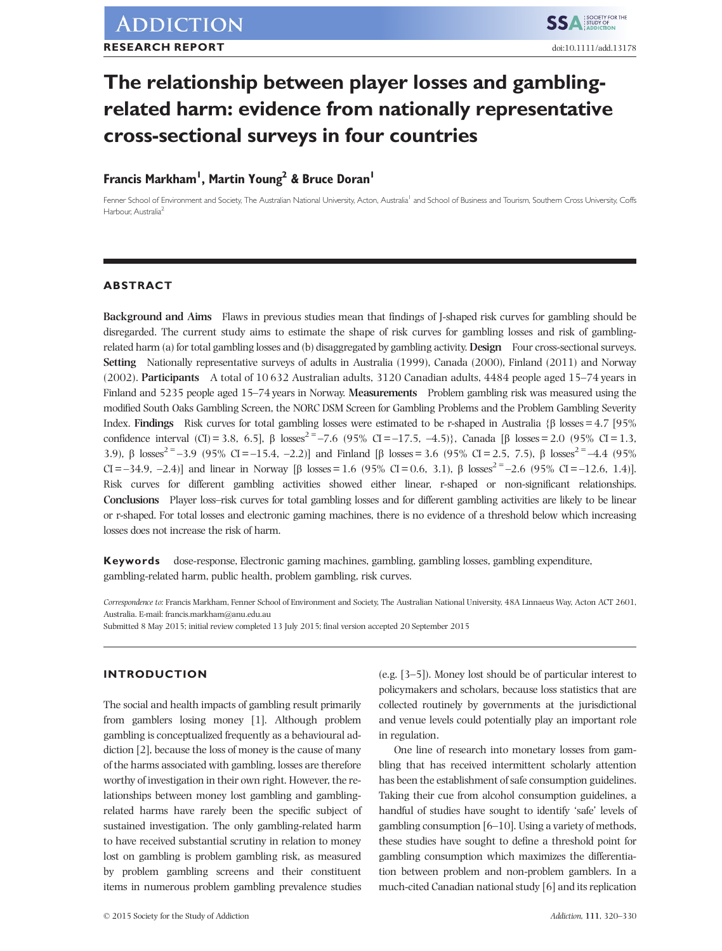## The relationship between player losses and gamblingrelated harm: evidence from nationally representative cross-sectional surveys in four countries

# Francis Markham, Martin Toung & Bruce Doran

Fenner School of Environment and Society, The Australian National University, Acton, Australia<sup>1</sup> and School of Business and Tourism, Southern Cross University, Coffs Harbour, Australia<sup>2</sup>

## ABSTRACT

Background and Aims Flaws in previous studies mean that findings of J-shaped risk curves for gambling should be disregarded. The current study aims to estimate the shape of risk curves for gambling losses and risk of gamblingrelated harm (a) for total gambling losses and (b) disaggregated by gambling activity. Design Four cross-sectional surveys. Setting Nationally representative surveys of adults in Australia (1999), Canada (2000), Finland (2011) and Norway (2002). Participants A total of 10 632 Australian adults, 3120 Canadian adults, 4484 people aged 15–74 years in Finland and 5235 people aged 15–74 years in Norway. Measurements Problem gambling risk was measured using the modified South Oaks Gambling Screen, the NORC DSM Screen for Gambling Problems and the Problem Gambling Severity Index. Findings Risk curves for total gambling losses were estimated to be r-shaped in Australia {β losses = 4.7 [95%] confidence interval (CI) = 3.8, 6.5], β losses<sup>2 =</sup> –7.6 (95% CI = –17.5, –4.5)}, Canada [β losses = 2.0 (95% CI = 1.3, 3.9), β losses<sup>2 =</sup> –3.9 (95% CI = –15.4, –2.2)] and Finland [β losses = 3.6 (95% CI = 2.5, 7.5), β losses<sup>2 =</sup> –4.4 (95% CI = -34.9, -2.4)] and linear in Norway [β losses = 1.6 (95% CI = 0.6, 3.1), β losses<sup>2 =</sup> -2.6 (95% CI = -12.6, 1.4)]. Risk curves for different gambling activities showed either linear, r-shaped or non-significant relationships. Conclusions Player loss–risk curves for total gambling losses and for different gambling activities are likely to be linear or r-shaped. For total losses and electronic gaming machines, there is no evidence of a threshold below which increasing losses does not increase the risk of harm.

Keywords dose-response, Electronic gaming machines, gambling, gambling losses, gambling expenditure, gambling-related harm, public health, problem gambling, risk curves.

Correspondence to: Francis Markham, Fenner School of Environment and Society, The Australian National University, 48A Linnaeus Way, Acton ACT 2601, Australia. E-mail: francis.markham@anu.edu.au

Submitted 8 May 2015; initial review completed 13 July 2015; final version accepted 20 September 2015

## INTRODUCTION

The social and health impacts of gambling result primarily from gamblers losing money [1]. Although problem gambling is conceptualized frequently as a behavioural addiction [2], because the loss of money is the cause of many of the harms associated with gambling, losses are therefore worthy of investigation in their own right. However, the relationships between money lost gambling and gamblingrelated harms have rarely been the specific subject of sustained investigation. The only gambling-related harm to have received substantial scrutiny in relation to money lost on gambling is problem gambling risk, as measured by problem gambling screens and their constituent items in numerous problem gambling prevalence studies

(e.g. [3–5]). Money lost should be of particular interest to policymakers and scholars, because loss statistics that are collected routinely by governments at the jurisdictional and venue levels could potentially play an important role in regulation.

One line of research into monetary losses from gambling that has received intermittent scholarly attention has been the establishment of safe consumption guidelines. Taking their cue from alcohol consumption guidelines, a handful of studies have sought to identify 'safe' levels of gambling consumption [6–10]. Using a variety of methods, these studies have sought to define a threshold point for gambling consumption which maximizes the differentiation between problem and non-problem gamblers. In a much-cited Canadian national study [6] and its replication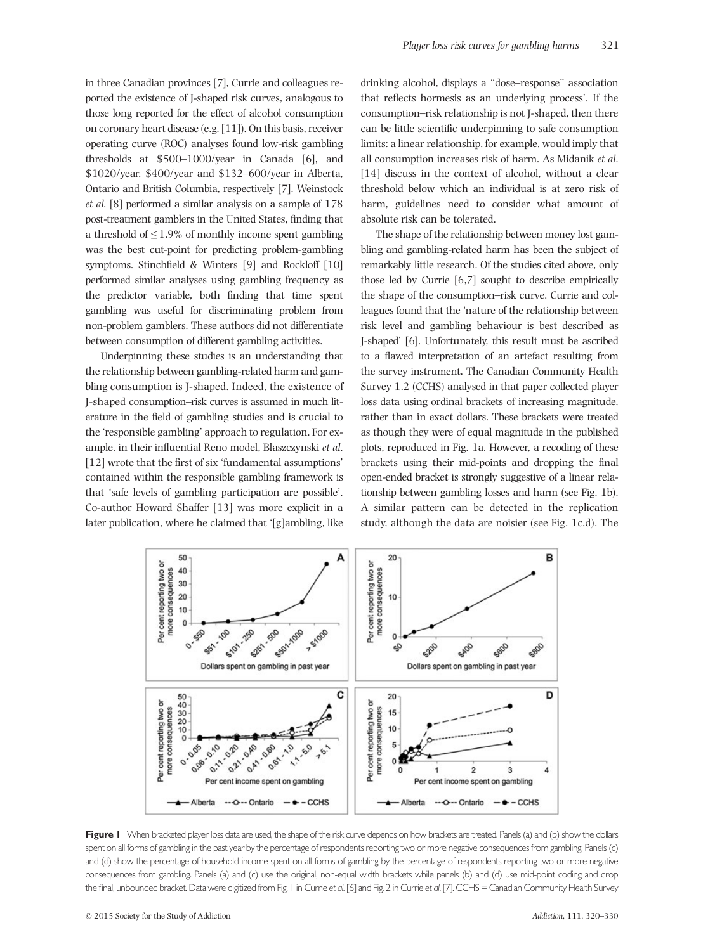in three Canadian provinces [7], Currie and colleagues reported the existence of J-shaped risk curves, analogous to those long reported for the effect of alcohol consumption on coronary heart disease (e.g. [11]). On this basis, receiver operating curve (ROC) analyses found low-risk gambling thresholds at \$500–1000/year in Canada [6], and \$1020/year, \$400/year and \$132–600/year in Alberta, Ontario and British Columbia, respectively [7]. Weinstock et al. [8] performed a similar analysis on a sample of 178 post-treatment gamblers in the United States, finding that a threshold of  $\leq 1.9\%$  of monthly income spent gambling was the best cut-point for predicting problem-gambling symptoms. Stinchfield & Winters [9] and Rockloff [10] performed similar analyses using gambling frequency as the predictor variable, both finding that time spent gambling was useful for discriminating problem from non-problem gamblers. These authors did not differentiate between consumption of different gambling activities.

Underpinning these studies is an understanding that the relationship between gambling-related harm and gambling consumption is J-shaped. Indeed, the existence of J-shaped consumption–risk curves is assumed in much literature in the field of gambling studies and is crucial to the 'responsible gambling' approach to regulation. For example, in their influential Reno model, Blaszczynski et al. [12] wrote that the first of six 'fundamental assumptions' contained within the responsible gambling framework is that 'safe levels of gambling participation are possible'. Co-author Howard Shaffer [13] was more explicit in a later publication, where he claimed that '[g]ambling, like

drinking alcohol, displays a "dose–response" association that reflects hormesis as an underlying process'. If the consumption–risk relationship is not J-shaped, then there can be little scientific underpinning to safe consumption limits: a linear relationship, for example, would imply that all consumption increases risk of harm. As Midanik et al. [14] discuss in the context of alcohol, without a clear threshold below which an individual is at zero risk of harm, guidelines need to consider what amount of absolute risk can be tolerated.

The shape of the relationship between money lost gambling and gambling-related harm has been the subject of remarkably little research. Of the studies cited above, only those led by Currie [6,7] sought to describe empirically the shape of the consumption–risk curve. Currie and colleagues found that the 'nature of the relationship between risk level and gambling behaviour is best described as J-shaped' [6]. Unfortunately, this result must be ascribed to a flawed interpretation of an artefact resulting from the survey instrument. The Canadian Community Health Survey 1.2 (CCHS) analysed in that paper collected player loss data using ordinal brackets of increasing magnitude, rather than in exact dollars. These brackets were treated as though they were of equal magnitude in the published plots, reproduced in Fig. 1a. However, a recoding of these brackets using their mid-points and dropping the final open-ended bracket is strongly suggestive of a linear relationship between gambling losses and harm (see Fig. 1b). A similar pattern can be detected in the replication study, although the data are noisier (see Fig. 1c,d). The



Figure I When bracketed player loss data are used, the shape of the risk curve depends on how brackets are treated. Panels (a) and (b) show the dollars spent on all forms of gambling in the past year by the percentage of respondents reporting two or more negative consequences from gambling. Panels (c) and (d) show the percentage of household income spent on all forms of gambling by the percentage of respondents reporting two or more negative consequences from gambling. Panels (a) and (c) use the original, non-equal width brackets while panels (b) and (d) use mid-point coding and drop the final, unbounded bracket. Data were digitized from Fig. 1 in Currie et al. [6] and Fig. 2 in Currie et al. [7]. CCHS = Canadian Community Health Survey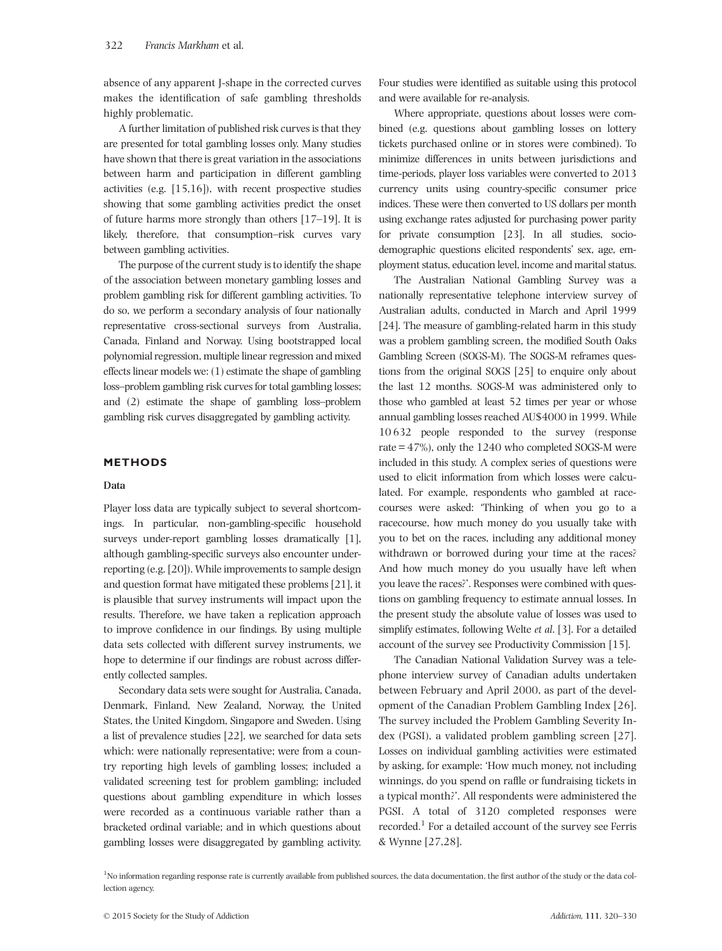absence of any apparent J-shape in the corrected curves makes the identification of safe gambling thresholds highly problematic.

A further limitation of published risk curves is that they are presented for total gambling losses only. Many studies have shown that there is great variation in the associations between harm and participation in different gambling activities (e.g. [15,16]), with recent prospective studies showing that some gambling activities predict the onset of future harms more strongly than others [17–19]. It is likely, therefore, that consumption–risk curves vary between gambling activities.

The purpose of the current study is to identify the shape of the association between monetary gambling losses and problem gambling risk for different gambling activities. To do so, we perform a secondary analysis of four nationally representative cross-sectional surveys from Australia, Canada, Finland and Norway. Using bootstrapped local polynomial regression, multiple linear regression and mixed effects linear models we: (1) estimate the shape of gambling loss–problem gambling risk curves for total gambling losses; and (2) estimate the shape of gambling loss–problem gambling risk curves disaggregated by gambling activity.

## METHODS

#### Data

Player loss data are typically subject to several shortcomings. In particular, non-gambling-specific household surveys under-report gambling losses dramatically [1], although gambling-specific surveys also encounter underreporting (e.g. [20]). While improvements to sample design and question format have mitigated these problems [21], it is plausible that survey instruments will impact upon the results. Therefore, we have taken a replication approach to improve confidence in our findings. By using multiple data sets collected with different survey instruments, we hope to determine if our findings are robust across differently collected samples.

Secondary data sets were sought for Australia, Canada, Denmark, Finland, New Zealand, Norway, the United States, the United Kingdom, Singapore and Sweden. Using a list of prevalence studies [22], we searched for data sets which: were nationally representative; were from a country reporting high levels of gambling losses; included a validated screening test for problem gambling; included questions about gambling expenditure in which losses were recorded as a continuous variable rather than a bracketed ordinal variable; and in which questions about gambling losses were disaggregated by gambling activity. Four studies were identified as suitable using this protocol and were available for re-analysis.

Where appropriate, questions about losses were combined (e.g. questions about gambling losses on lottery tickets purchased online or in stores were combined). To minimize differences in units between jurisdictions and time-periods, player loss variables were converted to 2013 currency units using country-specific consumer price indices. These were then converted to US dollars per month using exchange rates adjusted for purchasing power parity for private consumption [23]. In all studies, sociodemographic questions elicited respondents' sex, age, employment status, education level, income and marital status.

The Australian National Gambling Survey was a nationally representative telephone interview survey of Australian adults, conducted in March and April 1999 [24]. The measure of gambling-related harm in this study was a problem gambling screen, the modified South Oaks Gambling Screen (SOGS-M). The SOGS-M reframes questions from the original SOGS [25] to enquire only about the last 12 months. SOGS-M was administered only to those who gambled at least 52 times per year or whose annual gambling losses reached AU\$4000 in 1999. While 10 632 people responded to the survey (response rate  $= 47\%$ ), only the 1240 who completed SOGS-M were included in this study. A complex series of questions were used to elicit information from which losses were calculated. For example, respondents who gambled at racecourses were asked: 'Thinking of when you go to a racecourse, how much money do you usually take with you to bet on the races, including any additional money withdrawn or borrowed during your time at the races? And how much money do you usually have left when you leave the races?'. Responses were combined with questions on gambling frequency to estimate annual losses. In the present study the absolute value of losses was used to simplify estimates, following Welte et al. [3]. For a detailed account of the survey see Productivity Commission [15].

The Canadian National Validation Survey was a telephone interview survey of Canadian adults undertaken between February and April 2000, as part of the development of the Canadian Problem Gambling Index [26]. The survey included the Problem Gambling Severity Index (PGSI), a validated problem gambling screen [27]. Losses on individual gambling activities were estimated by asking, for example: 'How much money, not including winnings, do you spend on raffle or fundraising tickets in a typical month?'. All respondents were administered the PGSI. A total of 3120 completed responses were recorded.<sup>1</sup> For a detailed account of the survey see Ferris & Wynne [27,28].

<sup>1</sup>No information regarding response rate is currently available from published sources, the data documentation, the first author of the study or the data collection agency.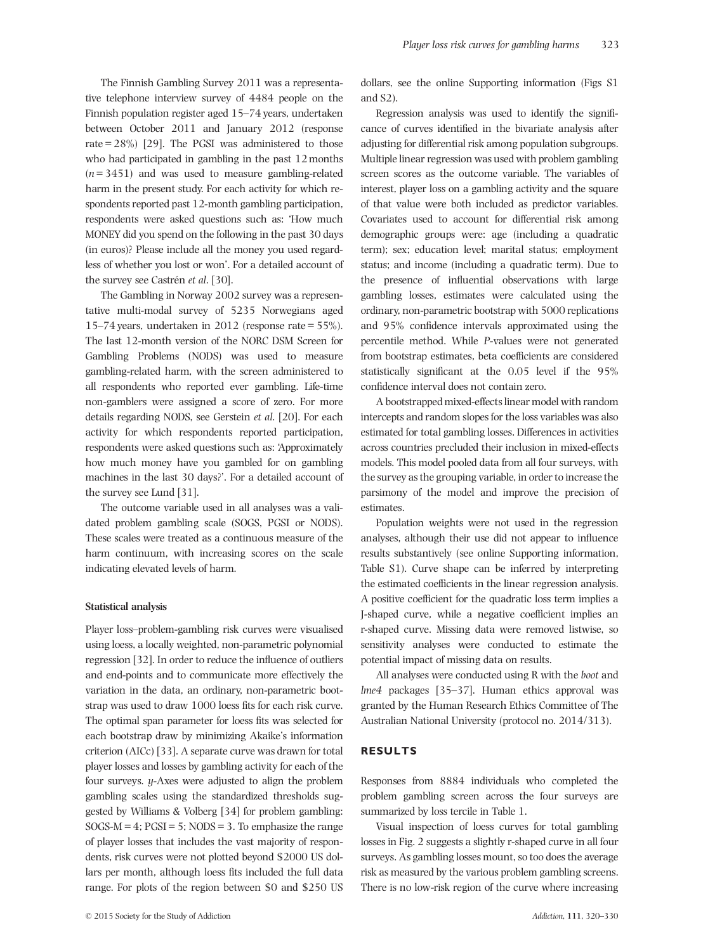The Finnish Gambling Survey 2011 was a representative telephone interview survey of 4484 people on the Finnish population register aged 15–74 years, undertaken between October 2011 and January 2012 (response rate  $= 28\%$  [29]. The PGSI was administered to those who had participated in gambling in the past 12 months  $(n= 3451)$  and was used to measure gambling-related harm in the present study. For each activity for which respondents reported past 12-month gambling participation, respondents were asked questions such as: 'How much MONEY did you spend on the following in the past 30 days (in euros)? Please include all the money you used regardless of whether you lost or won'. For a detailed account of the survey see Castrén et al. [30].

The Gambling in Norway 2002 survey was a representative multi-modal survey of 5235 Norwegians aged 15–74 years, undertaken in 2012 (response rate = 55%). The last 12-month version of the NORC DSM Screen for Gambling Problems (NODS) was used to measure gambling-related harm, with the screen administered to all respondents who reported ever gambling. Life-time non-gamblers were assigned a score of zero. For more details regarding NODS, see Gerstein et al. [20]. For each activity for which respondents reported participation, respondents were asked questions such as: 'Approximately how much money have you gambled for on gambling machines in the last 30 days?'. For a detailed account of the survey see Lund [31].

The outcome variable used in all analyses was a validated problem gambling scale (SOGS, PGSI or NODS). These scales were treated as a continuous measure of the harm continuum, with increasing scores on the scale indicating elevated levels of harm.

#### Statistical analysis

Player loss–problem-gambling risk curves were visualised using loess, a locally weighted, non-parametric polynomial regression [32]. In order to reduce the influence of outliers and end-points and to communicate more effectively the variation in the data, an ordinary, non-parametric bootstrap was used to draw 1000 loess fits for each risk curve. The optimal span parameter for loess fits was selected for each bootstrap draw by minimizing Akaike's information criterion (AICc) [33]. A separate curve was drawn for total player losses and losses by gambling activity for each of the four surveys. y-Axes were adjusted to align the problem gambling scales using the standardized thresholds suggested by Williams & Volberg [34] for problem gambling:  $SOGS-M = 4$ ;  $PGSI = 5$ ;  $NODS = 3$ . To emphasize the range of player losses that includes the vast majority of respondents, risk curves were not plotted beyond \$2000 US dollars per month, although loess fits included the full data range. For plots of the region between \$0 and \$250 US

dollars, see the online Supporting information (Figs S1 and S2).

Regression analysis was used to identify the significance of curves identified in the bivariate analysis after adjusting for differential risk among population subgroups. Multiple linear regression was used with problem gambling screen scores as the outcome variable. The variables of interest, player loss on a gambling activity and the square of that value were both included as predictor variables. Covariates used to account for differential risk among demographic groups were: age (including a quadratic term); sex; education level; marital status; employment status; and income (including a quadratic term). Due to the presence of influential observations with large gambling losses, estimates were calculated using the ordinary, non-parametric bootstrap with 5000 replications and 95% confidence intervals approximated using the percentile method. While P-values were not generated from bootstrap estimates, beta coefficients are considered statistically significant at the 0.05 level if the 95% confidence interval does not contain zero.

A bootstrapped mixed-effects linear model with random intercepts and random slopes for the loss variables was also estimated for total gambling losses. Differences in activities across countries precluded their inclusion in mixed-effects models. This model pooled data from all four surveys, with the survey as the grouping variable, in order to increase the parsimony of the model and improve the precision of estimates.

Population weights were not used in the regression analyses, although their use did not appear to influence results substantively (see online Supporting information, Table S1). Curve shape can be inferred by interpreting the estimated coefficients in the linear regression analysis. A positive coefficient for the quadratic loss term implies a J-shaped curve, while a negative coefficient implies an r-shaped curve. Missing data were removed listwise, so sensitivity analyses were conducted to estimate the potential impact of missing data on results.

All analyses were conducted using R with the boot and lme4 packages [35–37]. Human ethics approval was granted by the Human Research Ethics Committee of The Australian National University (protocol no. 2014/313).

## RESULTS

Responses from 8884 individuals who completed the problem gambling screen across the four surveys are summarized by loss tercile in Table 1.

Visual inspection of loess curves for total gambling losses in Fig. 2 suggests a slightly r-shaped curve in all four surveys. As gambling losses mount, so too does the average risk as measured by the various problem gambling screens. There is no low-risk region of the curve where increasing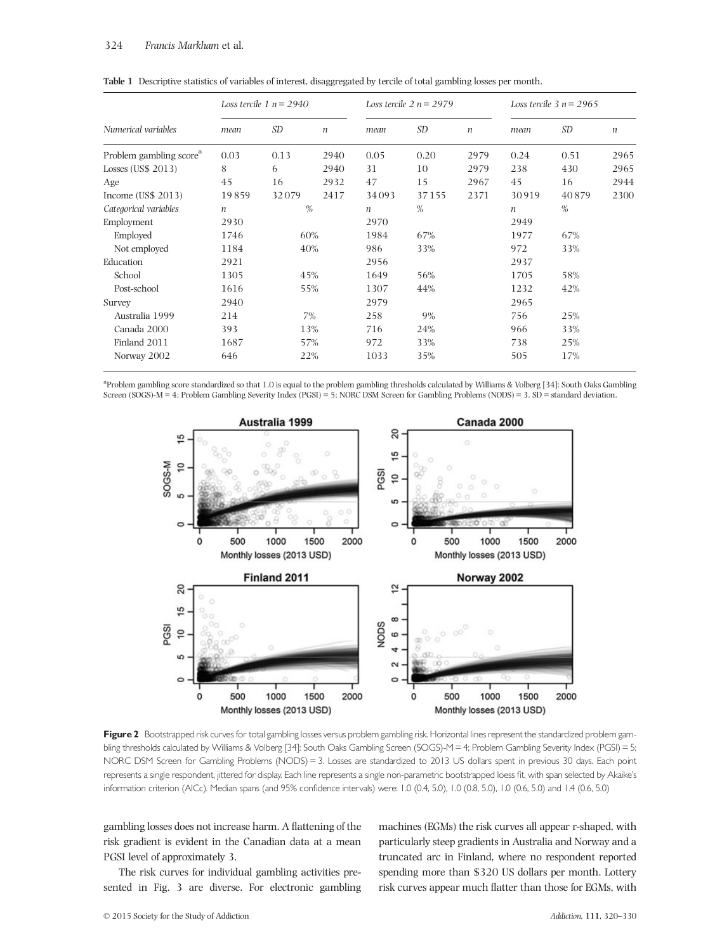|                                     | Loss tercile 1 $n = 2940$ |                |                  | Loss tercile $2 n = 2979$ |           |                  | Loss tercile $3 n = 2965$ |       |                  |
|-------------------------------------|---------------------------|----------------|------------------|---------------------------|-----------|------------------|---------------------------|-------|------------------|
| Numerical variables                 | mean                      | SD <sub></sub> | $\boldsymbol{n}$ | mean                      | <i>SD</i> | $\boldsymbol{n}$ | mean                      | SD    | $\boldsymbol{n}$ |
| Problem gambling score <sup>a</sup> | 0.03                      | 0.13           | 2940             | 0.05                      | 0.20      | 2979             | 0.24                      | 0.51  | 2965             |
| Losses (US\$ 2013)                  | 8                         | 6              | 2940             | 31                        | 10        | 2979             | 238                       | 430   | 2965             |
| Age                                 | 45                        | 16             | 2932             | 47                        | 15        | 2967             | 45                        | 16    | 2944             |
| Income (US\$ 2013)                  | 19859                     | 32079          | 2417             | 34093                     | 37155     | 2371             | 30919                     | 40879 | 2300             |
| Categorical variables               | $\%$<br>$\boldsymbol{n}$  |                | $\boldsymbol{n}$ | $\%$                      |           | $\boldsymbol{n}$ | %                         |       |                  |
| Employment                          | 2930                      |                |                  | 2970                      |           |                  | 2949                      |       |                  |
| Employed                            | 1746                      | 60%            |                  | 1984                      | 67%       |                  | 1977                      | 67%   |                  |
| Not employed                        | 1184                      | 40%            |                  | 986                       | 33%       |                  | 972                       | 33%   |                  |
| Education                           | 2921                      |                |                  | 2956                      |           |                  | 2937                      |       |                  |
| School                              | 1305                      | 45%            |                  | 1649                      | 56%       |                  | 1705                      | 58%   |                  |
| Post-school                         | 1616                      | 55%            |                  | 1307                      | 44%       |                  | 1232                      | 42%   |                  |
| Survey                              | 2940                      |                |                  | 2979                      |           |                  | 2965                      |       |                  |
| Australia 1999                      | 214                       | 7%             |                  | 258                       | 9%        |                  | 756                       | 25%   |                  |
| Canada 2000                         | 393                       | 13%            |                  | 716                       | 24%       |                  | 966                       | 33%   |                  |
| Finland 2011                        | 1687                      | 57%            |                  | 972                       | 33%       |                  | 738                       | 25%   |                  |
| Norway 2002                         | 646                       | 22%            |                  | 1033                      | 35%       |                  | 505                       | 17%   |                  |

Table 1 Descriptive statistics of variables of interest, disaggregated by tercile of total gambling losses per month.

a Problem gambling score standardized so that 1.0 is equal to the problem gambling thresholds calculated by Williams & Volberg [34]: South Oaks Gambling Screen (SOGS)-M = 4; Problem Gambling Severity Index (PGSI) = 5; NORC DSM Screen for Gambling Problems (NODS) = 3. SD = standard deviation.



Figure 2 Bootstrapped risk curves for total gambling losses versus problem gambling risk. Horizontal lines represent the standardized problem gambling thresholds calculated by Williams & Volberg [34]: South Oaks Gambling Screen (SOGS)-M = 4; Problem Gambling Severity Index (PGSI) = 5; NORC DSM Screen for Gambling Problems (NODS) = 3. Losses are standardized to 2013 US dollars spent in previous 30 days. Each point represents a single respondent, jittered for display. Each line represents a single non-parametric bootstrapped loess fit, with span selected by Akaike's information criterion (AICc). Median spans (and 95% confidence intervals) were: 1.0 (0.4, 5.0), 1.0 (0.8, 5.0), 1.0 (0.6, 5.0) and 1.4 (0.6, 5.0)

gambling losses does not increase harm. A flattening of the risk gradient is evident in the Canadian data at a mean PGSI level of approximately 3.

The risk curves for individual gambling activities presented in Fig. 3 are diverse. For electronic gambling machines (EGMs) the risk curves all appear r-shaped, with particularly steep gradients in Australia and Norway and a truncated arc in Finland, where no respondent reported spending more than \$320 US dollars per month. Lottery risk curves appear much flatter than those for EGMs, with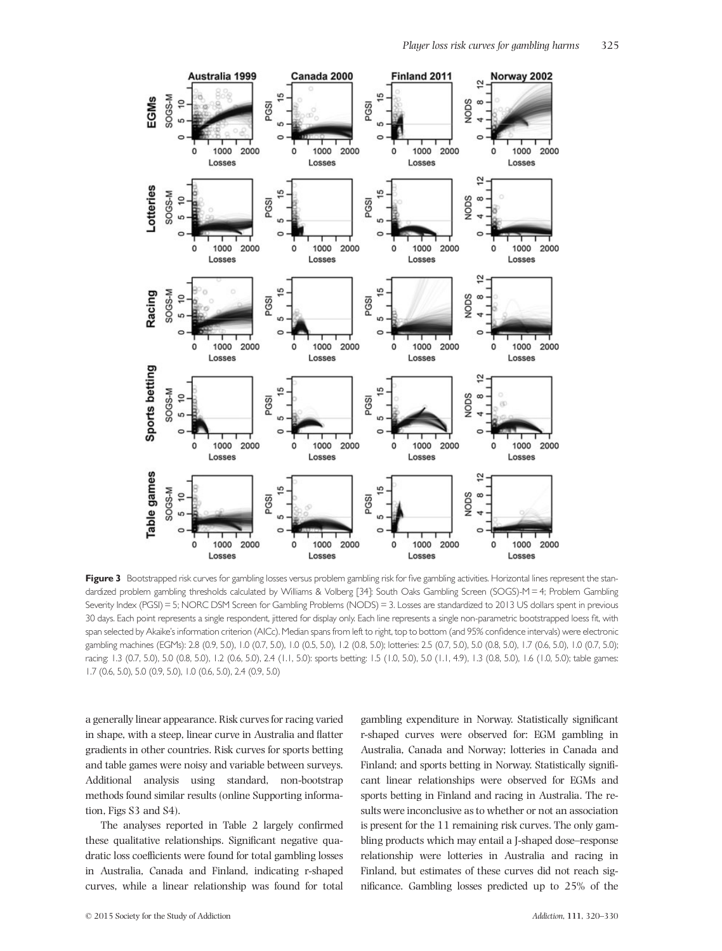

Figure 3 Bootstrapped risk curves for gambling losses versus problem gambling risk for five gambling activities. Horizontal lines represent the standardized problem gambling thresholds calculated by Williams & Volberg [34]: South Oaks Gambling Screen (SOGS)-M = 4; Problem Gambling Severity Index (PGSI) = 5; NORC DSM Screen for Gambling Problems (NODS) = 3. Losses are standardized to 2013 US dollars spent in previous 30 days. Each point represents a single respondent, jittered for display only. Each line represents a single non-parametric bootstrapped loess fit, with span selected by Akaike's information criterion (AICc). Median spans from left to right, top to bottom (and 95% confidence intervals) were electronic gambling machines (EGMs): 2.8 (0.9, 5.0), 1.0 (0.7, 5.0), 1.0 (0.5, 5.0), 1.2 (0.8, 5.0); lotteries: 2.5 (0.7, 5.0), 5.0 (0.8, 5.0), 1.7 (0.6, 5.0), 1.0 (0.7, 5.0); racing: 1.3 (0.7, 5.0), 5.0 (0.8, 5.0), 1.2 (0.6, 5.0), 2.4 (1.1, 5.0): sports betting: 1.5 (1.0, 5.0), 5.0 (1.1, 4.9), 1.3 (0.8, 5.0), 1.6 (1.0, 5.0); table games: 1.7 (0.6, 5.0), 5.0 (0.9, 5.0), 1.0 (0.6, 5.0), 2.4 (0.9, 5.0)

a generally linear appearance. Risk curves for racing varied in shape, with a steep, linear curve in Australia and flatter gradients in other countries. Risk curves for sports betting and table games were noisy and variable between surveys. Additional analysis using standard, non-bootstrap methods found similar results (online Supporting information, Figs S3 and S4).

The analyses reported in Table 2 largely confirmed these qualitative relationships. Significant negative quadratic loss coefficients were found for total gambling losses in Australia, Canada and Finland, indicating r-shaped curves, while a linear relationship was found for total

gambling expenditure in Norway. Statistically significant r-shaped curves were observed for: EGM gambling in Australia, Canada and Norway; lotteries in Canada and Finland; and sports betting in Norway. Statistically significant linear relationships were observed for EGMs and sports betting in Finland and racing in Australia. The results were inconclusive as to whether or not an association is present for the 11 remaining risk curves. The only gambling products which may entail a J-shaped dose–response relationship were lotteries in Australia and racing in Finland, but estimates of these curves did not reach significance. Gambling losses predicted up to 25% of the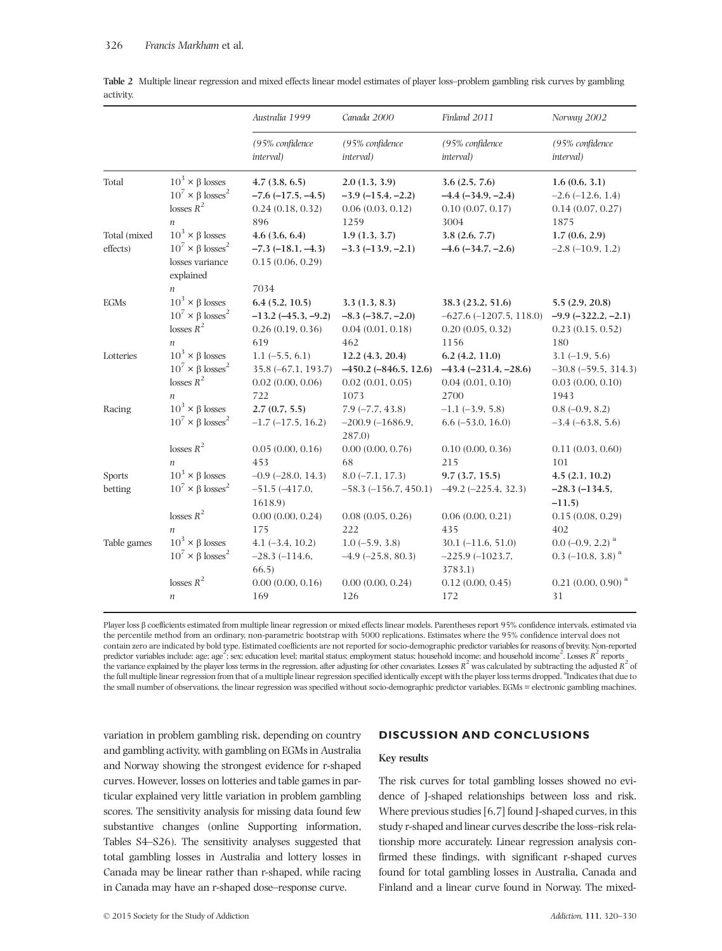|                          |                                                                                                                  | Australia 1999                                                                  | Canada 2000                                                              | Finland 2011                                                                    | Norway 2002                                                                                                  |
|--------------------------|------------------------------------------------------------------------------------------------------------------|---------------------------------------------------------------------------------|--------------------------------------------------------------------------|---------------------------------------------------------------------------------|--------------------------------------------------------------------------------------------------------------|
|                          |                                                                                                                  | (95% confidence<br>interval)                                                    | (95% confidence<br>interval)                                             | (95% confidence<br>interval)                                                    | (95% confidence<br>interval)                                                                                 |
| Total                    | $10^3 \times \beta$ losses<br>$10^7 \times \beta \text{ losses}^2$<br>losses $R^2$<br>$\boldsymbol{n}$           | 4.7(3.8, 6.5)<br>$-7.6$ $(-17.5, -4.5)$<br>0.24(0.18, 0.32)<br>896              | 2.0(1.3, 3.9)<br>$-3.9(-15.4,-2.2)$<br>0.06(0.03, 0.12)<br>1259          | 3.6(2.5, 7.6)<br>$-4.4(-34.9,-2.4)$<br>0.10(0.07, 0.17)<br>3004                 | 1.6(0.6, 3.1)<br>$-2.6(-12.6, 1.4)$<br>0.14(0.07, 0.27)<br>1875                                              |
| Total (mixed<br>effects) | $10^3 \times \beta$ losses<br>$10^7 \times \beta \text{ losses}^2$<br>losses variance<br>explained               | 4.6(3.6, 6.4)<br>$-7.3$ $(-18.1, -4.3)$<br>0.15(0.06, 0.29)                     | 1.9(1.3, 3.7)<br>$-3.3$ $(-13.9, -2.1)$                                  | 3.8(2.6, 7.7)<br>$-4.6$ $(-34.7, -2.6)$                                         | 1.7(0.6, 2.9)<br>$-2.8(-10.9, 1.2)$                                                                          |
| EGMs                     | $\boldsymbol{n}$<br>$10^3 \times \beta$ losses<br>$10^7 \times \beta \text{ losses}^2$<br>losses $R^2$           | 7034<br>6.4(5.2, 10.5)<br>$-13.2 (-45.3, -9.2)$<br>0.26(0.19, 0.36)<br>619      | 3.3(1.3, 8.3)<br>$-8.3$ $(-38.7, -2.0)$<br>0.04(0.01, 0.18)<br>462       | 38.3 (23.2, 51.6)<br>$-627.6$ $(-1207.5, 118.0)$<br>0.20(0.05, 0.32)<br>1156    | 5.5(2.9, 20.8)<br>$-9.9$ $(-322.2, -2.1)$<br>0.23(0.15, 0.52)<br>180                                         |
| Lotteries                | $\eta$<br>$10^3 \times \beta$ losses<br>$10^7 \times \beta \text{ losses}^2$<br>losses $R^2$<br>$\boldsymbol{n}$ | $1.1(-5.5, 6.1)$<br>$35.8(-67.1, 193.7)$<br>$0.02$ $(0.00, 0.06)$<br>722        | 12.2(4.3, 20.4)<br>$-450.2 (-846.5, 12.6)$<br>0.02(0.01, 0.05)<br>1073   | 6.2(4.2, 11.0)<br>$-43.4 (-231.4, -28.6)$<br>0.04(0.01, 0.10)<br>2700           | $3.1(-1.9, 5.6)$<br>$-30.8$ ( $-59.5$ , 314.3)<br>0.03(0.00, 0.10)<br>1943                                   |
| Racing                   | $10^3 \times \beta$ losses<br>$10^7 \times \beta \text{ losses}^2$<br>losses $R^2$                               | 2.7(0.7, 5.5)<br>$-1.7$ $(-17.5, 16.2)$<br>0.05(0.00, 0.16)                     | $7.9(-7.7, 43.8)$<br>$-200.9(-1686.9,$<br>287.0<br>0.00(0.00, 0.76)      | $-1.1$ $(-3.9, 5.8)$<br>$6.6$ ( $-53.0$ , 16.0)<br>0.10(0.00, 0.36)             | $0.8 (-0.9, 8.2)$<br>$-3.4(-63.8, 5.6)$<br>0.11(0.03, 0.60)                                                  |
| Sports<br>betting        | $\boldsymbol{n}$<br>$10^3 \times \beta$ losses<br>$10^7 \times \beta \text{ losses}^2$<br>losses $R^2$           | 453<br>$-0.9$ $(-28.0, 14.3)$<br>$-51.5(-417.0,$<br>1618.9)<br>0.00(0.00, 0.24) | 68<br>$8.0(-7.1, 17.3)$<br>$-58.3$ $(-156.7, 450.1)$<br>0.08(0.05, 0.26) | 215<br>9.7(3.7, 15.5)<br>$-49.2$ $(-225.4, 32.3)$<br>0.06(0.00, 0.21)           | 101<br>4.5(2.1, 10.2)<br>$-28.3(-134.5,$<br>$-11.5$<br>0.15(0.08, 0.29)                                      |
| Table games              | $10^3 \times \beta$ losses<br>$10^7 \times \beta \text{ losses}^2$<br>losses $R^2$                               | 175<br>$4.1 (-3.4, 10.2)$<br>$-28.3$ $(-114.6,$<br>66.5<br>0.00(0.00, 0.16)     | 222<br>$1.0(-5.9, 3.8)$<br>$-4.9$ ( $-25.8$ , 80.3)<br>0.00(0.00, 0.24)  | 435<br>$30.1 (-11.6, 51.0)$<br>$-225.9(-1023.7,$<br>3783.1)<br>0.12(0.00, 0.45) | 402<br>$0.0$ (-0.9, 2.2) <sup>a</sup><br>$0.3$ (-10.8, 3.8) <sup>a</sup><br>$0.21$ (0.00, 0.90) <sup>a</sup> |
|                          | $\boldsymbol{n}$                                                                                                 | 169                                                                             | 126                                                                      | 172                                                                             | 31                                                                                                           |

Table 2 Multiple linear regression and mixed effects linear model estimates of player loss–problem gambling risk curves by gambling activity.

Player loss β coefficients estimated from multiple linear regression or mixed effects linear models. Parentheses report 95% confidence intervals, estimated via the percentile method from an ordinary, non-parametric bootstrap with 5000 replications. Estimates where the 95% confidence interval does not contain zero are indicated by bold type. Estimated coefficients are not reported for socio-demographic predictor variables for reasons of brevity. Non-reported predictor variables include: age; age<sup>2</sup>; sex; education level; marital status; employment status; household income: and household income<sup>2</sup>. Losses  $R^2$  reports the variance explained by the player loss terms in the regression, after adjusting for other covariates. Losses  $R^2$  was calculated by subtracting the adjusted  $R^2$  of the full multiple linear regression from that of a multiple linear regression specified identically except with the player loss terms dropped. <sup>a</sup> indicates that due to the small number of observations, the linear regression was specified without socio-demographic predictor variables. EGMs = electronic gambling machines.

variation in problem gambling risk, depending on country and gambling activity, with gambling on EGMs in Australia and Norway showing the strongest evidence for r-shaped curves. However, losses on lotteries and table games in particular explained very little variation in problem gambling scores. The sensitivity analysis for missing data found few substantive changes (online Supporting information, Tables S4–S26). The sensitivity analyses suggested that total gambling losses in Australia and lottery losses in Canada may be linear rather than r-shaped, while racing in Canada may have an r-shaped dose–response curve.

## DISCUSSION AND CONCLUSIONS

#### Key results

The risk curves for total gambling losses showed no evidence of J-shaped relationships between loss and risk. Where previous studies [6,7] found J-shaped curves, in this study r-shaped and linear curves describe the loss–risk relationship more accurately. Linear regression analysis confirmed these findings, with significant r-shaped curves found for total gambling losses in Australia, Canada and Finland and a linear curve found in Norway. The mixed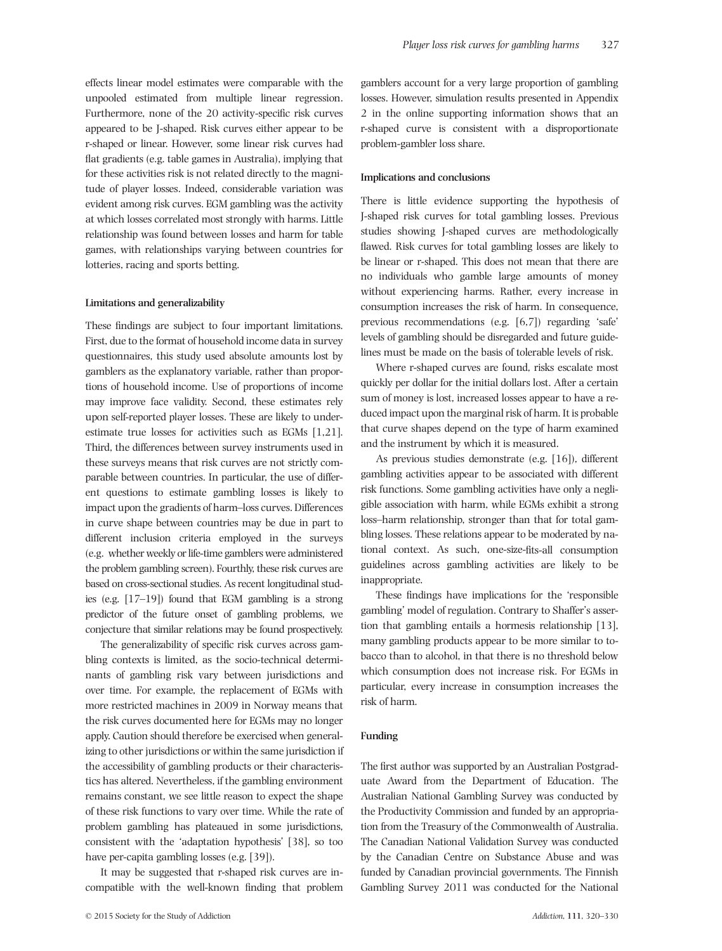effects linear model estimates were comparable with the unpooled estimated from multiple linear regression. Furthermore, none of the 20 activity-specific risk curves appeared to be J-shaped. Risk curves either appear to be r-shaped or linear. However, some linear risk curves had flat gradients (e.g. table games in Australia), implying that for these activities risk is not related directly to the magnitude of player losses. Indeed, considerable variation was evident among risk curves. EGM gambling was the activity at which losses correlated most strongly with harms. Little relationship was found between losses and harm for table games, with relationships varying between countries for lotteries, racing and sports betting.

#### Limitations and generalizability

These findings are subject to four important limitations. First, due to the format of household income data in survey questionnaires, this study used absolute amounts lost by gamblers as the explanatory variable, rather than proportions of household income. Use of proportions of income may improve face validity. Second, these estimates rely upon self-reported player losses. These are likely to underestimate true losses for activities such as EGMs [1,21]. Third, the differences between survey instruments used in these surveys means that risk curves are not strictly comparable between countries. In particular, the use of different questions to estimate gambling losses is likely to impact upon the gradients of harm–loss curves. Differences in curve shape between countries may be due in part to different inclusion criteria employed in the surveys (e.g. whether weekly or life-time gamblers were administered the problem gambling screen). Fourthly, these risk curves are based on cross-sectional studies. As recent longitudinal studies (e.g. [17–19]) found that EGM gambling is a strong predictor of the future onset of gambling problems, we conjecture that similar relations may be found prospectively.

The generalizability of specific risk curves across gambling contexts is limited, as the socio-technical determinants of gambling risk vary between jurisdictions and over time. For example, the replacement of EGMs with more restricted machines in 2009 in Norway means that the risk curves documented here for EGMs may no longer apply. Caution should therefore be exercised when generalizing to other jurisdictions or within the same jurisdiction if the accessibility of gambling products or their characteristics has altered. Nevertheless, if the gambling environment remains constant, we see little reason to expect the shape of these risk functions to vary over time. While the rate of problem gambling has plateaued in some jurisdictions, consistent with the 'adaptation hypothesis' [38], so too have per-capita gambling losses (e.g. [39]).

It may be suggested that r-shaped risk curves are incompatible with the well-known finding that problem gamblers account for a very large proportion of gambling losses. However, simulation results presented in Appendix 2 in the online supporting information shows that an r-shaped curve is consistent with a disproportionate problem-gambler loss share.

#### Implications and conclusions

There is little evidence supporting the hypothesis of J-shaped risk curves for total gambling losses. Previous studies showing J-shaped curves are methodologically flawed. Risk curves for total gambling losses are likely to be linear or r-shaped. This does not mean that there are no individuals who gamble large amounts of money without experiencing harms. Rather, every increase in consumption increases the risk of harm. In consequence, previous recommendations (e.g. [6,7]) regarding 'safe' levels of gambling should be disregarded and future guidelines must be made on the basis of tolerable levels of risk.

Where r-shaped curves are found, risks escalate most quickly per dollar for the initial dollars lost. After a certain sum of money is lost, increased losses appear to have a reduced impact upon the marginal risk of harm. It is probable that curve shapes depend on the type of harm examined and the instrument by which it is measured.

As previous studies demonstrate (e.g. [16]), different gambling activities appear to be associated with different risk functions. Some gambling activities have only a negligible association with harm, while EGMs exhibit a strong loss–harm relationship, stronger than that for total gambling losses. These relations appear to be moderated by national context. As such, one-size-fits-all consumption guidelines across gambling activities are likely to be inappropriate.

These findings have implications for the 'responsible gambling' model of regulation. Contrary to Shaffer's assertion that gambling entails a hormesis relationship [13], many gambling products appear to be more similar to tobacco than to alcohol, in that there is no threshold below which consumption does not increase risk. For EGMs in particular, every increase in consumption increases the risk of harm.

#### Funding

The first author was supported by an Australian Postgraduate Award from the Department of Education. The Australian National Gambling Survey was conducted by the Productivity Commission and funded by an appropriation from the Treasury of the Commonwealth of Australia. The Canadian National Validation Survey was conducted by the Canadian Centre on Substance Abuse and was funded by Canadian provincial governments. The Finnish Gambling Survey 2011 was conducted for the National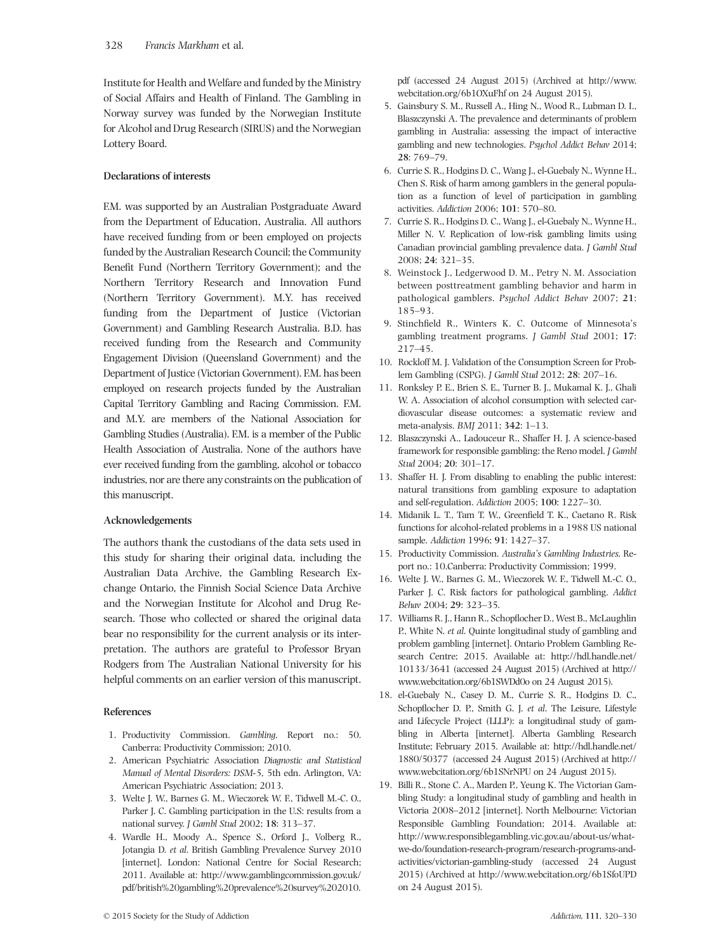Institute for Health and Welfare and funded by the Ministry of Social Affairs and Health of Finland. The Gambling in Norway survey was funded by the Norwegian Institute for Alcohol and Drug Research (SIRUS) and the Norwegian Lottery Board.

## Declarations of interests

F.M. was supported by an Australian Postgraduate Award from the Department of Education, Australia. All authors have received funding from or been employed on projects funded by the Australian Research Council; the Community Benefit Fund (Northern Territory Government); and the Northern Territory Research and Innovation Fund (Northern Territory Government). M.Y. has received funding from the Department of Justice (Victorian Government) and Gambling Research Australia. B.D. has received funding from the Research and Community Engagement Division (Queensland Government) and the Department of Justice (Victorian Government). F.M. has been employed on research projects funded by the Australian Capital Territory Gambling and Racing Commission. F.M. and M.Y. are members of the National Association for Gambling Studies (Australia). F.M. is a member of the Public Health Association of Australia. None of the authors have ever received funding from the gambling, alcohol or tobacco industries, nor are there any constraints on the publication of this manuscript.

## Acknowledgements

The authors thank the custodians of the data sets used in this study for sharing their original data, including the Australian Data Archive, the Gambling Research Exchange Ontario, the Finnish Social Science Data Archive and the Norwegian Institute for Alcohol and Drug Research. Those who collected or shared the original data bear no responsibility for the current analysis or its interpretation. The authors are grateful to Professor Bryan Rodgers from The Australian National University for his helpful comments on an earlier version of this manuscript.

## References

- 1. Productivity Commission. Gambling. Report no.: 50. Canberra: Productivity Commission; 2010.
- 2. American Psychiatric Association Diagnostic and Statistical Manual of Mental Disorders: DSM-5, 5th edn. Arlington, VA: American Psychiatric Association; 2013.
- 3. Welte J. W., Barnes G. M., Wieczorek W. F., Tidwell M.-C. O., Parker J. C. Gambling participation in the U.S: results from a national survey. J Gambl Stud 2002; 18: 313–37.
- 4. Wardle H., Moody A., Spence S., Orford J., Volberg R., Jotangia D. et al. British Gambling Prevalence Survey 2010 [internet]. London: National Centre for Social Research; 2011. Available at: [http://www.gamblingcommission.gov.uk/](http://www.gamblingcommission.gov.uk/pdf/british%20gambling%20prevalence%20survey%202010.pdf) [pdf/british%20gambling%20prevalence%20survey%202010.](http://www.gamblingcommission.gov.uk/pdf/british%20gambling%20prevalence%20survey%202010.pdf)

[pdf](http://www.gamblingcommission.gov.uk/pdf/british%20gambling%20prevalence%20survey%202010.pdf) (accessed 24 August 2015) (Archived at [http://www.](http://www.webcitation.org/6b1OXuFhf) [webcitation.org/6b1OXuFhf](http://www.webcitation.org/6b1OXuFhf) on 24 August 2015).

- 5. Gainsbury S. M., Russell A., Hing N., Wood R., Lubman D. I., Blaszczynski A. The prevalence and determinants of problem gambling in Australia: assessing the impact of interactive gambling and new technologies. Psychol Addict Behav 2014; 28: 769–79.
- 6. Currie S. R., Hodgins D. C., Wang J., el-Guebaly N., Wynne H., Chen S. Risk of harm among gamblers in the general population as a function of level of participation in gambling activities. Addiction 2006; 101: 570–80.
- 7. Currie S. R., Hodgins D. C., Wang J., el-Guebaly N., Wynne H., Miller N. V. Replication of low-risk gambling limits using Canadian provincial gambling prevalence data. J Gambl Stud 2008; 24: 321–35.
- 8. Weinstock J., Ledgerwood D. M., Petry N. M. Association between posttreatment gambling behavior and harm in pathological gamblers. Psychol Addict Behav 2007; 21: 185–93.
- 9. Stinchfield R., Winters K. C. Outcome of Minnesota's gambling treatment programs. J Gambl Stud 2001; 17: 217–45.
- 10. Rockloff M. J. Validation of the Consumption Screen for Problem Gambling (CSPG). J Gambl Stud 2012; 28: 207–16.
- 11. Ronksley P. E., Brien S. E., Turner B. J., Mukamal K. J., Ghali W. A. Association of alcohol consumption with selected cardiovascular disease outcomes: a systematic review and meta-analysis. BMJ 2011; 342: 1–13.
- 12. Blaszczynski A., Ladouceur R., Shaffer H. J. A science-based framework for responsible gambling: the Reno model. J Gambl Stud 2004; 20: 301–17.
- 13. Shaffer H. J. From disabling to enabling the public interest: natural transitions from gambling exposure to adaptation and self-regulation. Addiction 2005; 100: 1227–30.
- 14. Midanik L. T., Tam T. W., Greenfield T. K., Caetano R. Risk functions for alcohol-related problems in a 1988 US national sample. Addiction 1996; 91: 1427–37.
- 15. Productivity Commission. Australia's Gambling Industries. Report no.: 10.Canberra: Productivity Commission; 1999.
- 16. Welte J. W., Barnes G. M., Wieczorek W. F., Tidwell M.-C. O., Parker J. C. Risk factors for pathological gambling. Addict Behav 2004; 29: 323–35.
- 17. Williams R. J., Hann R., Schopflocher D., West B., McLaughlin P., White N. et al. Quinte longitudinal study of gambling and problem gambling [internet]. Ontario Problem Gambling Research Centre; 2015. Available at: [http://hdl.handle.net/](http://hdl.handle.net/10133/3641) [10133/3641](http://hdl.handle.net/10133/3641) (accessed 24 August 2015) (Archived at [http://](http://www.webcitation.org/6b1SWDd0o) [www.webcitation.org/6b1SWDd0o](http://www.webcitation.org/6b1SWDd0o) on 24 August 2015).
- 18. el-Guebaly N., Casey D. M., Currie S. R., Hodgins D. C., Schopflocher D. P., Smith G. J. et al. The Leisure, Lifestyle and Lifecycle Project (LLLP): a longitudinal study of gambling in Alberta [internet]. Alberta Gambling Research Institute; February 2015. Available at: [http://hdl.handle.net/](http://hdl.handle.net/1880/50377) [1880/50377](http://hdl.handle.net/1880/50377) (accessed 24 August 2015) (Archived at [http://](http://www.webcitation.org/6b1SNrNPU) [www.webcitation.org/6b1SNrNPU](http://www.webcitation.org/6b1SNrNPU) on 24 August 2015).
- 19. Billi R., Stone C. A., Marden P., Yeung K. The Victorian Gambling Study: a longitudinal study of gambling and health in Victoria 2008–2012 [internet]. North Melbourne: Victorian Responsible Gambling Foundation; 2014. Available at: [http://www.responsiblegambling.vic.gov.au/about-us/what](http://www.responsiblegambling.vic.gov.au/about-us/what-we-do/foundation-research-program/research-programs-and-activities/victorian-gambling-study)[we-do/foundation-research-program/research-programs-and](http://www.responsiblegambling.vic.gov.au/about-us/what-we-do/foundation-research-program/research-programs-and-activities/victorian-gambling-study)[activities/victorian-gambling-study](http://www.responsiblegambling.vic.gov.au/about-us/what-we-do/foundation-research-program/research-programs-and-activities/victorian-gambling-study) (accessed 24 August 2015) (Archived at<http://www.webcitation.org/6b1SfoUPD> on 24 August 2015).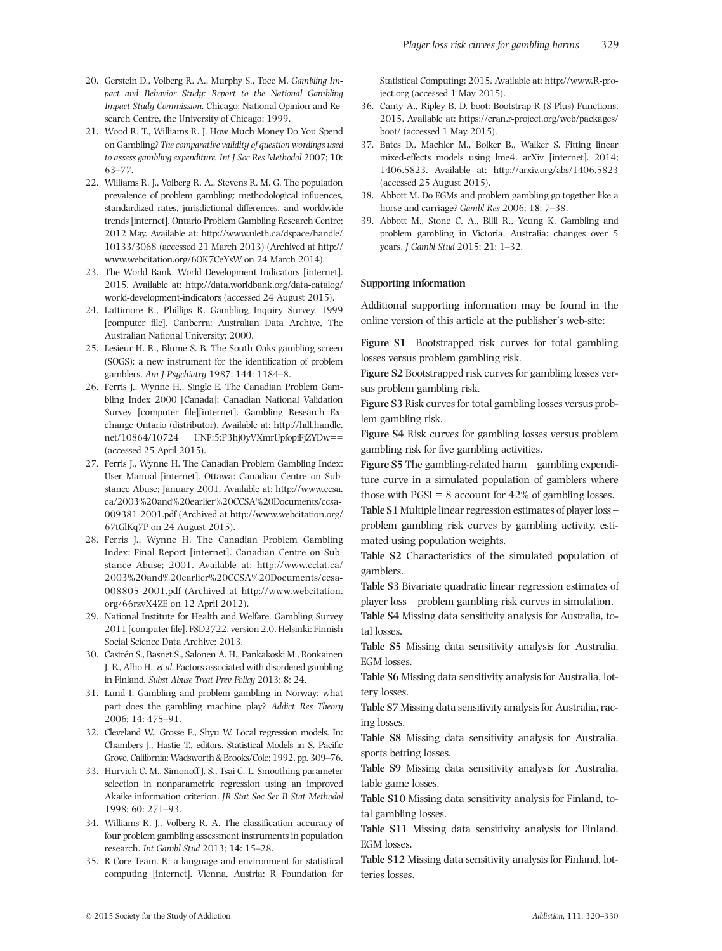- 20. Gerstein D., Volberg R. A., Murphy S., Toce M. Gambling Impact and Behavior Study: Report to the National Gambling Impact Study Commission. Chicago: National Opinion and Research Centre, the University of Chicago; 1999.
- 21. Wood R. T., Williams R. J. How Much Money Do You Spend on Gambling? The comparative validity of question wordings used to assess gambling expenditure. Int J Soc Res Methodol 2007; 10: 63–77.
- 22. Williams R. J., Volberg R. A., Stevens R. M. G. The population prevalence of problem gambling: methodological influences, standardized rates, jurisdictional differences, and worldwide trends [internet]. Ontario Problem Gambling Research Centre; 2012 May. Available at: [http://www.uleth.ca/dspace/handle/](http://www.uleth.ca/dspace/handle/10133/3068) [10133/3068](http://www.uleth.ca/dspace/handle/10133/3068) (accessed 21 March 2013) (Archived at [http://](http://www.webcitation.org/6OK7CeYsW) [www.webcitation.org/6OK7CeYsW](http://www.webcitation.org/6OK7CeYsW) on 24 March 2014).
- 23. The World Bank. World Development Indicators [internet]. 2015. Available at: [http://data.worldbank.org/data-catalog/](http://data.worldbank.org/data-catalog/world-development-indicators) [world-development-indicators](http://data.worldbank.org/data-catalog/world-development-indicators) (accessed 24 August 2015).
- 24. Lattimore R., Phillips R. Gambling Inquiry Survey, 1999 [computer file]. Canberra: Australian Data Archive, The Australian National University; 2000.
- 25. Lesieur H. R., Blume S. B. The South Oaks gambling screen (SOGS): a new instrument for the identification of problem gamblers. Am J Psychiatry 1987; 144: 1184–8.
- 26. Ferris J., Wynne H., Single E. The Canadian Problem Gambling Index 2000 [Canada]: Canadian National Validation Survey [computer file][internet]. Gambling Research Exchange Ontario (distributor). Available at: [http://hdl.handle.](http://hdl.handle.net/10864/10724) [net/10864/10724](http://hdl.handle.net/10864/10724) UNF:5:P3hj0yVXmrUpfopfFjZYDw== (accessed 25 April 2015).
- 27. Ferris J., Wynne H. The Canadian Problem Gambling Index: User Manual [internet]. Ottawa: Canadian Centre on Substance Abuse; January 2001. Available at: [http://www.ccsa.](http://www.ccsa.ca/2003%20and%20earlier%20CCSA%20Documents/ccsa-009381-2001.pdf) [ca/2003%20and%20earlier%20CCSA%20Documents/ccsa-](http://www.ccsa.ca/2003%20and%20earlier%20CCSA%20Documents/ccsa-009381-2001.pdf)[009381-2001.pdf](http://www.ccsa.ca/2003%20and%20earlier%20CCSA%20Documents/ccsa-009381-2001.pdf) (Archived at [http://www.webcitation.org/](http://www.webcitation.org/67tGlKq7P) [67tGlKq7P](http://www.webcitation.org/67tGlKq7P) on 24 August 2015).
- 28. Ferris J., Wynne H. The Canadian Problem Gambling Index: Final Report [internet]. Canadian Centre on Substance Abuse; 2001. Available at: [http://www.cclat.ca/](http://www.cclat.ca/2003%20and%20earlier%20CCSA%20Documents/ccsa-008805-2001.pdf) [2003%20and%20earlier%20CCSA%20Documents/ccsa-](http://www.cclat.ca/2003%20and%20earlier%20CCSA%20Documents/ccsa-008805-2001.pdf)[008805-2001.pdf](http://www.cclat.ca/2003%20and%20earlier%20CCSA%20Documents/ccsa-008805-2001.pdf) (Archived at [http://www.webcitation.](http://www.webcitation.org/66rzvX4ZE) [org/66rzvX4ZE](http://www.webcitation.org/66rzvX4ZE) on 12 April 2012).
- 29. National Institute for Health and Welfare. Gambling Survey 2011 [computer file]. FSD2722, version 2.0. Helsinki: Finnish Social Science Data Archive; 2013.
- 30. Castrén S., Basnet S., Salonen A. H., Pankakoski M., Ronkainen J.-E., Alho H., et al. Factors associated with disordered gambling in Finland. Subst Abuse Treat Prev Policy 2013; 8: 24.
- 31. Lund I. Gambling and problem gambling in Norway: what part does the gambling machine play? Addict Res Theory 2006; 14: 475–91.
- 32. Cleveland W., Grosse E., Shyu W. Local regression models. In: Chambers J., Hastie T., editors. Statistical Models in S. Pacific Grove, California:Wadsworth & Brooks/Cole; 1992, pp. 309–76.
- 33. Hurvich C. M., Simonoff J. S., Tsai C.-L. Smoothing parameter selection in nonparametric regression using an improved Akaike information criterion. JR Stat Soc Ser B Stat Methodol 1998; 60: 271–93.
- 34. Williams R. J., Volberg R. A. The classification accuracy of four problem gambling assessment instruments in population research. Int Gambl Stud 2013; 14: 15–28.
- 35. R Core Team. R: a language and environment for statistical computing [internet]. Vienna, Austria: R Foundation for

Statistical Computing; 2015. Available at: [http://www.R-pro](http://www.R-project.org)[ject.org](http://www.R-project.org) (accessed 1 May 2015).

- 36. Canty A., Ripley B. D. boot: Bootstrap R (S-Plus) Functions. 2015. Available at: [https://cran.r-project.org/web/packages/](https://cran.r-project.org/web/packages/boot/) [boot/](https://cran.r-project.org/web/packages/boot/) (accessed 1 May 2015).
- 37. Bates D., Machler M., Bolker B., Walker S. Fitting linear mixed-effects models using lme4. arXiv [internet]. 2014; 1406.5823. Available at:<http://arxiv.org/abs/1406.5823> (accessed 25 August 2015).
- 38. Abbott M. Do EGMs and problem gambling go together like a horse and carriage? Gambl Res 2006; 18: 7-38.
- 39. Abbott M., Stone C. A., Billi R., Yeung K. Gambling and problem gambling in Victoria, Australia: changes over 5 years. J Gambl Stud 2015; 21: 1–32.

## Supporting information

Additional supporting information may be found in the online version of this article at the publisher's web-site:

Figure S1 Bootstrapped risk curves for total gambling losses versus problem gambling risk.

Figure S2 Bootstrapped risk curves for gambling losses versus problem gambling risk.

Figure S3 Risk curves for total gambling losses versus problem gambling risk.

Figure S4 Risk curves for gambling losses versus problem gambling risk for five gambling activities.

Figure S5 The gambling-related harm – gambling expenditure curve in a simulated population of gamblers where those with  $PGSI = 8$  account for  $42\%$  of gambling losses.

Table S1 Multiple linear regression estimates of player loss – problem gambling risk curves by gambling activity, estimated using population weights.

Table S2 Characteristics of the simulated population of gamblers.

Table S3 Bivariate quadratic linear regression estimates of player loss – problem gambling risk curves in simulation.

Table S4 Missing data sensitivity analysis for Australia, total losses.

Table S5 Missing data sensitivity analysis for Australia, EGM losses.

Table S6 Missing data sensitivity analysis for Australia, lottery losses.

Table S7 Missing data sensitivity analysis for Australia, racing losses.

Table S8 Missing data sensitivity analysis for Australia, sports betting losses.

Table S9 Missing data sensitivity analysis for Australia, table game losses.

Table S10 Missing data sensitivity analysis for Finland, total gambling losses.

Table S11 Missing data sensitivity analysis for Finland, EGM losses.

Table S12 Missing data sensitivity analysis for Finland, lotteries losses.